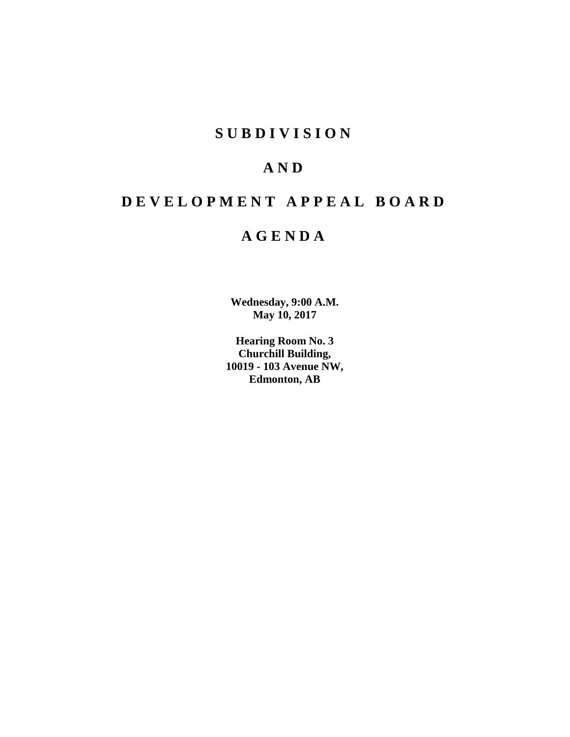# **S U B D I V I S I O N**

# **A N D**

# **D E V E L O P M E N T A P P E A L B O A R D**

# **A G E N D A**

**Wednesday, 9:00 A.M. May 10, 2017**

**Hearing Room No. 3 Churchill Building, 10019 - 103 Avenue NW, Edmonton, AB**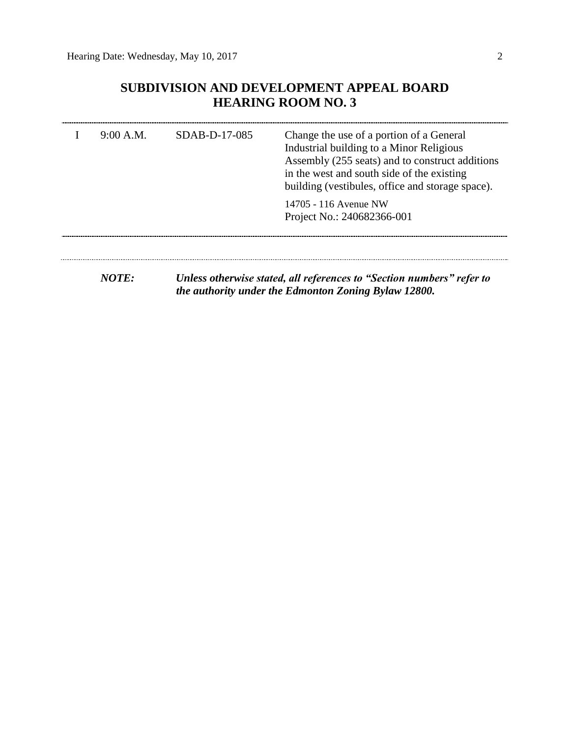## **SUBDIVISION AND DEVELOPMENT APPEAL BOARD HEARING ROOM NO. 3**

| 9:00 A.M. | SDAB-D-17-085 | Change the use of a portion of a General<br>Industrial building to a Minor Religious<br>Assembly (255 seats) and to construct additions<br>in the west and south side of the existing<br>building (vestibules, office and storage space). |  |  |
|-----------|---------------|-------------------------------------------------------------------------------------------------------------------------------------------------------------------------------------------------------------------------------------------|--|--|
|           |               | 14705 - 116 Avenue NW<br>Project No.: 240682366-001                                                                                                                                                                                       |  |  |
| NOTE:     |               | Unless otherwise stated, all references to "Section numbers" refer to<br>the authority under the Edmonton Zoning Bylaw 12800.                                                                                                             |  |  |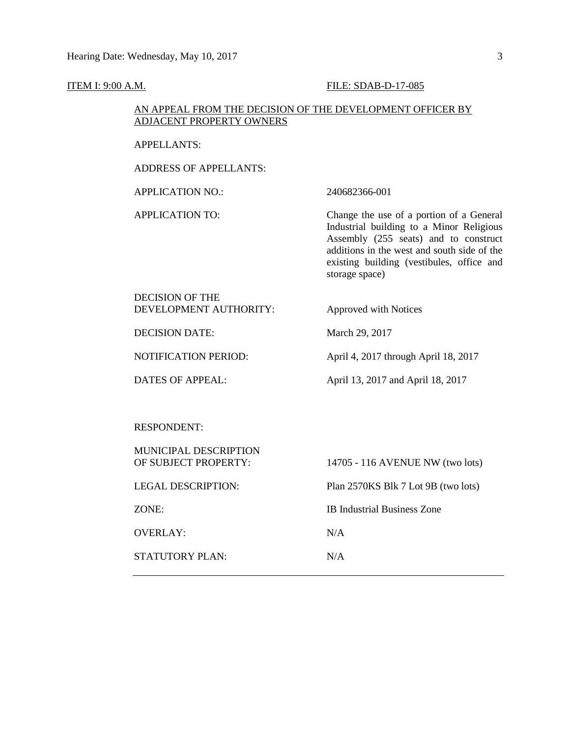#### **ITEM I: 9:00 A.M. FILE: SDAB-D-17-085**

#### AN APPEAL FROM THE DECISION OF THE DEVELOPMENT OFFICER BY ADJACENT PROPERTY OWNERS

APPELLANTS:

ADDRESS OF APPELLANTS:

APPLICATION NO.: 240682366-001

APPLICATION TO: Change the use of a portion of a General Industrial building to a Minor Religious Assembly (255 seats) and to construct additions in the west and south side of the existing building (vestibules, office and storage space)

DECISION OF THE DEVELOPMENT AUTHORITY: Approved with Notices

DECISION DATE: March 29, 2017

NOTIFICATION PERIOD: April 4, 2017 through April 18, 2017

DATES OF APPEAL: April 13, 2017 and April 18, 2017

RESPONDENT:

| <b>MUNICIPAL DESCRIPTION</b><br>OF SUBJECT PROPERTY: | 14705 - 116 AVENUE NW (two lots)    |
|------------------------------------------------------|-------------------------------------|
| <b>LEGAL DESCRIPTION:</b>                            | Plan 2570KS Blk 7 Lot 9B (two lots) |
| ZONE:                                                | <b>IB</b> Industrial Business Zone  |
| OVERLAY:                                             | N/A                                 |
| STATUTORY PLAN:                                      | N/A                                 |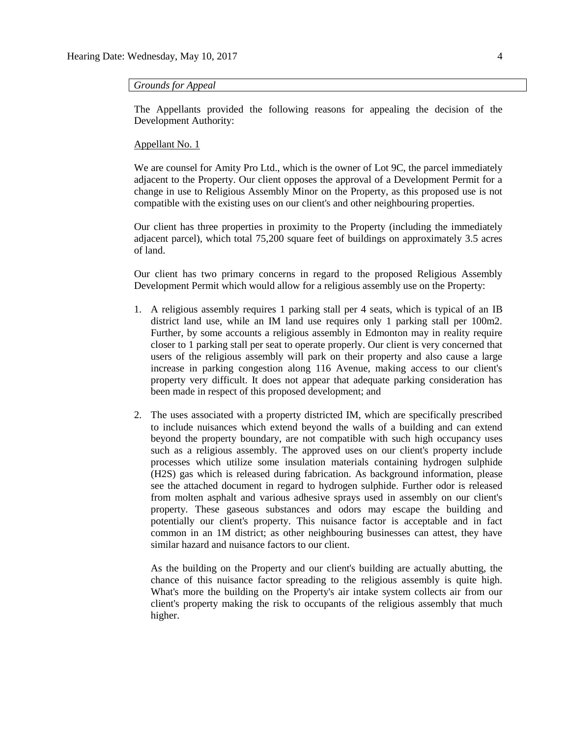#### *Grounds for Appeal*

The Appellants provided the following reasons for appealing the decision of the Development Authority:

#### Appellant No. 1

We are counsel for Amity Pro Ltd., which is the owner of Lot 9C, the parcel immediately adjacent to the Property. Our client opposes the approval of a Development Permit for a change in use to Religious Assembly Minor on the Property, as this proposed use is not compatible with the existing uses on our client's and other neighbouring properties.

Our client has three properties in proximity to the Property (including the immediately adjacent parcel), which total 75,200 square feet of buildings on approximately 3.5 acres of land.

Our client has two primary concerns in regard to the proposed Religious Assembly Development Permit which would allow for a religious assembly use on the Property:

- 1. A religious assembly requires 1 parking stall per 4 seats, which is typical of an IB district land use, while an IM land use requires only 1 parking stall per 100m2. Further, by some accounts a religious assembly in Edmonton may in reality require closer to 1 parking stall per seat to operate properly. Our client is very concerned that users of the religious assembly will park on their property and also cause a large increase in parking congestion along 116 Avenue, making access to our client's property very difficult. It does not appear that adequate parking consideration has been made in respect of this proposed development; and
- 2. The uses associated with a property districted IM, which are specifically prescribed to include nuisances which extend beyond the walls of a building and can extend beyond the property boundary, are not compatible with such high occupancy uses such as a religious assembly. The approved uses on our client's property include processes which utilize some insulation materials containing hydrogen sulphide (H2S) gas which is released during fabrication. As background information, please see the attached document in regard to hydrogen sulphide. Further odor is released from molten asphalt and various adhesive sprays used in assembly on our client's property. These gaseous substances and odors may escape the building and potentially our client's property. This nuisance factor is acceptable and in fact common in an 1M district; as other neighbouring businesses can attest, they have similar hazard and nuisance factors to our client.

As the building on the Property and our client's building are actually abutting, the chance of this nuisance factor spreading to the religious assembly is quite high. What's more the building on the Property's air intake system collects air from our client's property making the risk to occupants of the religious assembly that much higher.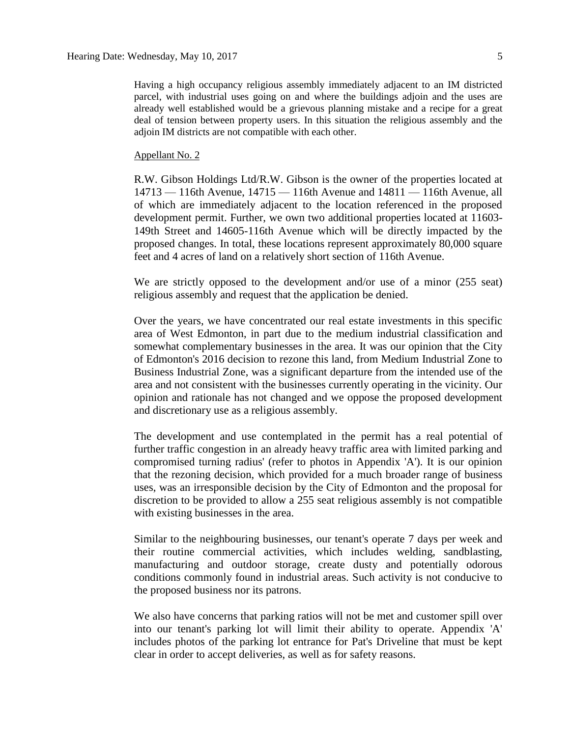Having a high occupancy religious assembly immediately adjacent to an IM districted parcel, with industrial uses going on and where the buildings adjoin and the uses are already well established would be a grievous planning mistake and a recipe for a great deal of tension between property users. In this situation the religious assembly and the adjoin IM districts are not compatible with each other.

#### Appellant No. 2

R.W. Gibson Holdings Ltd/R.W. Gibson is the owner of the properties located at 14713 — 116th Avenue, 14715 — 116th Avenue and 14811 — 116th Avenue, all of which are immediately adjacent to the location referenced in the proposed development permit. Further, we own two additional properties located at 11603- 149th Street and 14605-116th Avenue which will be directly impacted by the proposed changes. In total, these locations represent approximately 80,000 square feet and 4 acres of land on a relatively short section of 116th Avenue.

We are strictly opposed to the development and/or use of a minor (255 seat) religious assembly and request that the application be denied.

Over the years, we have concentrated our real estate investments in this specific area of West Edmonton, in part due to the medium industrial classification and somewhat complementary businesses in the area. It was our opinion that the City of Edmonton's 2016 decision to rezone this land, from Medium Industrial Zone to Business Industrial Zone, was a significant departure from the intended use of the area and not consistent with the businesses currently operating in the vicinity. Our opinion and rationale has not changed and we oppose the proposed development and discretionary use as a religious assembly.

The development and use contemplated in the permit has a real potential of further traffic congestion in an already heavy traffic area with limited parking and compromised turning radius' (refer to photos in Appendix 'A'). It is our opinion that the rezoning decision, which provided for a much broader range of business uses, was an irresponsible decision by the City of Edmonton and the proposal for discretion to be provided to allow a 255 seat religious assembly is not compatible with existing businesses in the area.

Similar to the neighbouring businesses, our tenant's operate 7 days per week and their routine commercial activities, which includes welding, sandblasting, manufacturing and outdoor storage, create dusty and potentially odorous conditions commonly found in industrial areas. Such activity is not conducive to the proposed business nor its patrons.

We also have concerns that parking ratios will not be met and customer spill over into our tenant's parking lot will limit their ability to operate. Appendix 'A' includes photos of the parking lot entrance for Pat's Driveline that must be kept clear in order to accept deliveries, as well as for safety reasons.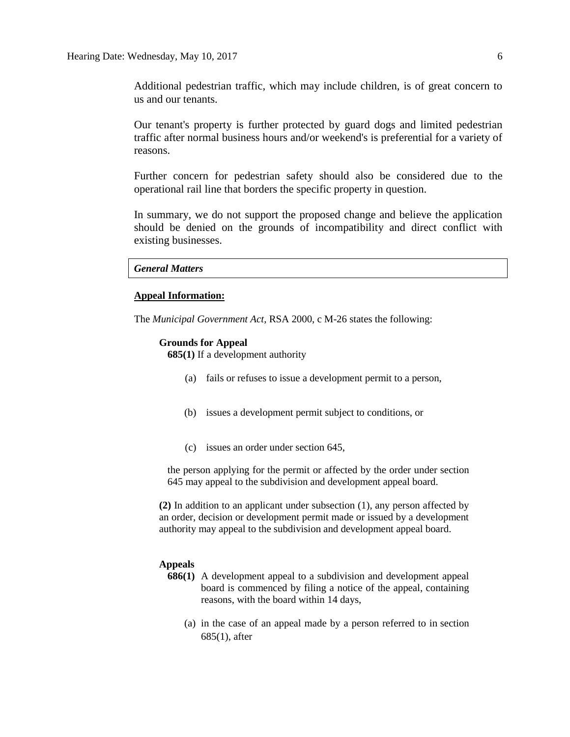Additional pedestrian traffic, which may include children, is of great concern to us and our tenants.

Our tenant's property is further protected by guard dogs and limited pedestrian traffic after normal business hours and/or weekend's is preferential for a variety of reasons.

Further concern for pedestrian safety should also be considered due to the operational rail line that borders the specific property in question.

In summary, we do not support the proposed change and believe the application should be denied on the grounds of incompatibility and direct conflict with existing businesses.

*General Matters*

#### **Appeal Information:**

The *Municipal Government Act*, RSA 2000, c M-26 states the following:

#### **Grounds for Appeal**

**685(1)** If a development authority

- (a) fails or refuses to issue a development permit to a person,
- (b) issues a development permit subject to conditions, or
- (c) issues an order under section 645,

the person applying for the permit or affected by the order under section 645 may appeal to the subdivision and development appeal board.

**(2)** In addition to an applicant under subsection (1), any person affected by an order, decision or development permit made or issued by a development authority may appeal to the subdivision and development appeal board.

#### **Appeals**

- **686(1)** A development appeal to a subdivision and development appeal board is commenced by filing a notice of the appeal, containing reasons, with the board within 14 days,
	- (a) in the case of an appeal made by a person referred to in section 685(1), after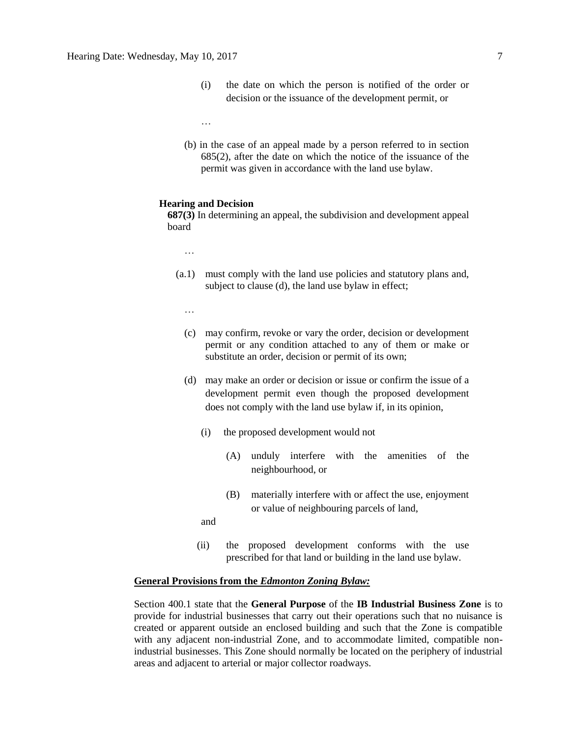- (i) the date on which the person is notified of the order or decision or the issuance of the development permit, or
- …
- (b) in the case of an appeal made by a person referred to in section 685(2), after the date on which the notice of the issuance of the permit was given in accordance with the land use bylaw.

#### **Hearing and Decision**

**687(3)** In determining an appeal, the subdivision and development appeal board

- …
- (a.1) must comply with the land use policies and statutory plans and, subject to clause (d), the land use bylaw in effect;
	- …
	- (c) may confirm, revoke or vary the order, decision or development permit or any condition attached to any of them or make or substitute an order, decision or permit of its own;
	- (d) may make an order or decision or issue or confirm the issue of a development permit even though the proposed development does not comply with the land use bylaw if, in its opinion,
		- (i) the proposed development would not
			- (A) unduly interfere with the amenities of the neighbourhood, or
			- (B) materially interfere with or affect the use, enjoyment or value of neighbouring parcels of land,
		- and
		- (ii) the proposed development conforms with the use prescribed for that land or building in the land use bylaw.

#### **General Provisions from the** *Edmonton Zoning Bylaw:*

Section 400.1 state that the **General Purpose** of the **IB Industrial Business Zone** is to provide for industrial businesses that carry out their operations such that no nuisance is created or apparent outside an enclosed building and such that the Zone is compatible with any adjacent non-industrial Zone, and to accommodate limited, compatible nonindustrial businesses. This Zone should normally be located on the periphery of industrial areas and adjacent to arterial or major collector roadways.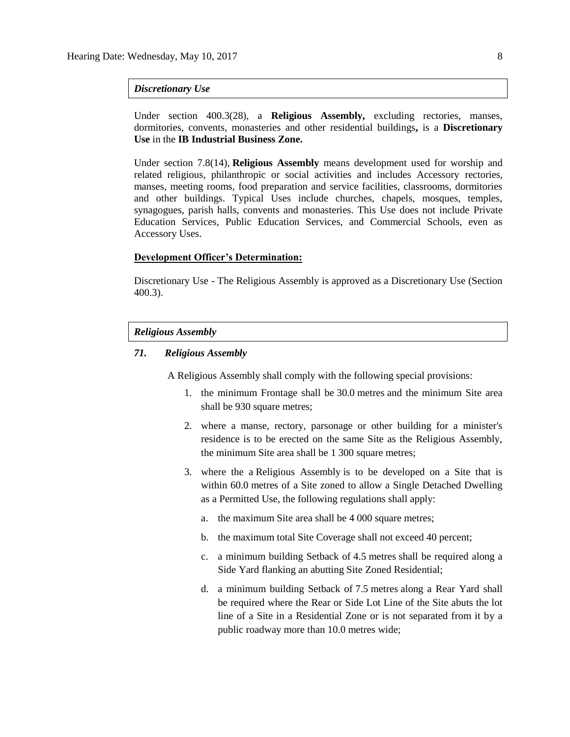#### *Discretionary Use*

Under section 400.3(28), a **Religious Assembly,** excluding rectories, manses, dormitories, convents, monasteries and other residential buildings**,** is a **Discretionary Use** in the **IB Industrial Business Zone.**

Under section 7.8(14), **Religious Assembly** means development used for worship and related religious, philanthropic or social activities and includes Accessory rectories, manses, meeting rooms, food preparation and service facilities, classrooms, dormitories and other buildings. Typical Uses include churches, chapels, mosques, temples, synagogues, parish halls, convents and monasteries. This Use does not include Private Education Services, Public Education Services, and Commercial Schools, even as Accessory Uses.

#### **Development Officer's Determination:**

Discretionary Use - The Religious Assembly is approved as a Discretionary Use (Section 400.3).

#### *Religious Assembly*

### *71. Religious Assembly*

A Religious Assembly shall comply with the following special provisions:

- 1. the minimum Frontage shall be [30.0](javascript:void(0);) metres and the minimum Site area shall be 930 [square](javascript:void(0);) metres;
- 2. where a manse, rectory, parsonage or other building for a minister's residence is to be erected on the same Site as the Religious Assembly, the minimum Site area shall be 1 300 [square](javascript:void(0);) metres;
- 3. where the a [Religious Assembly](javascript:void(0);) is to be developed on a Site that is within 60.0 metres of a Site zoned to allow a Single Detached Dwelling as a Permitted Use, the following regulations shall apply:
	- a. the maximum Site area shall be 4 000 [square](javascript:void(0);) metres;
	- b. the maximum total Site Coverage shall not exceed 40 percent;
	- c. a minimum building Setback of [4.5](javascript:void(0);) metres shall be required along a Side Yard flanking an abutting Site Zoned Residential;
	- d. a minimum building Setback of [7.5](javascript:void(0);) metres along a Rear Yard shall be required where the Rear or Side Lot Line of the Site abuts the lot line of a Site in a Residential Zone or is not separated from it by a public roadway more than [10.0](javascript:void(0);) metres wide;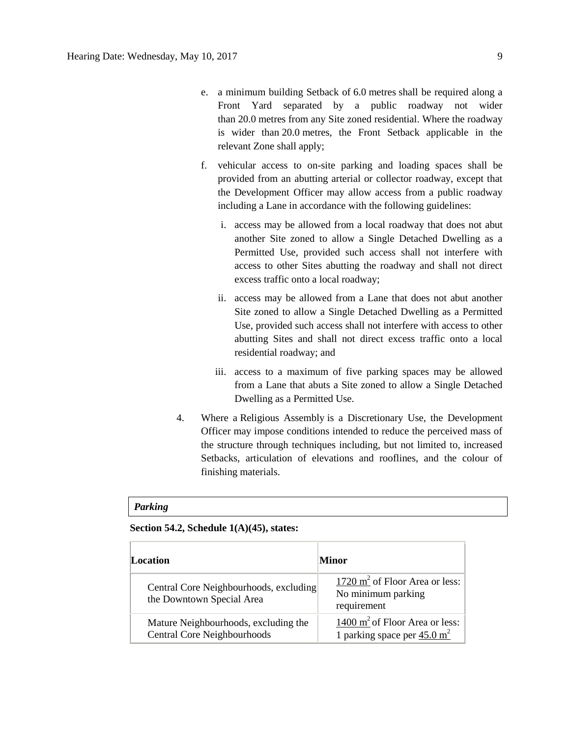- e. a minimum building Setback of [6.0](javascript:void(0);) metres shall be required along a Front Yard separated by a public roadway not wider than [20.0](javascript:void(0);) metres from any Site zoned residential. Where the roadway is wider than [20.0](javascript:void(0);) metres, the Front Setback applicable in the relevant Zone shall apply;
- f. vehicular access to on-site parking and loading spaces shall be provided from an abutting arterial or collector roadway, except that the Development Officer may allow access from a public roadway including a Lane in accordance with the following guidelines:
	- i. access may be allowed from a local roadway that does not abut another Site zoned to allow a Single Detached Dwelling as a Permitted Use, provided such access shall not interfere with access to other Sites abutting the roadway and shall not direct excess traffic onto a local roadway;
	- ii. access may be allowed from a Lane that does not abut another Site zoned to allow a Single Detached Dwelling as a Permitted Use, provided such access shall not interfere with access to other abutting Sites and shall not direct excess traffic onto a local residential roadway; and
	- iii. access to a maximum of five parking spaces may be allowed from a Lane that abuts a Site zoned to allow a Single Detached Dwelling as a Permitted Use.
- 4. Where a [Religious Assembly](javascript:void(0);) is a Discretionary Use, the Development Officer may impose conditions intended to reduce the perceived mass of the structure through techniques including, but not limited to, increased Setbacks, articulation of elevations and rooflines, and the colour of finishing materials.

#### *Parking*

### **Section 54.2, Schedule 1(A)(45), states:**

| Location                                                            | Minor                                                                       |  |
|---------------------------------------------------------------------|-----------------------------------------------------------------------------|--|
| Central Core Neighbourhoods, excluding<br>the Downtown Special Area | 1720 $m^2$ of Floor Area or less:<br>No minimum parking<br>requirement      |  |
| Mature Neighbourhoods, excluding the<br>Central Core Neighbourhoods | 1400 $m^2$ of Floor Area or less:<br>1 parking space per $45.0 \text{ m}^2$ |  |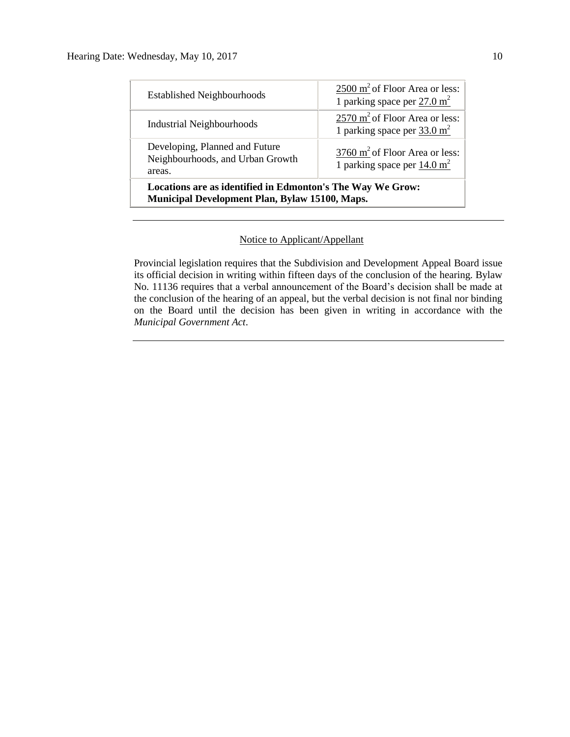| Locations are as identified in Edmonton's The Way We Grow:<br>Municipal Development Plan, Bylaw 15100, Maps. |                                                                                     |  |  |
|--------------------------------------------------------------------------------------------------------------|-------------------------------------------------------------------------------------|--|--|
| Developing, Planned and Future<br>Neighbourhoods, and Urban Growth<br>areas.                                 | $3760 \text{ m}^2$ of Floor Area or less:<br>1 parking space per $14.0 \text{ m}^2$ |  |  |
| <b>Industrial Neighbourhoods</b>                                                                             | $2570 \text{ m}^2$ of Floor Area or less:<br>1 parking space per $33.0 \text{ m}^2$ |  |  |
| <b>Established Neighbourhoods</b>                                                                            | $2500 \text{ m}^2$ of Floor Area or less:<br>1 parking space per $27.0 \text{ m}^2$ |  |  |

#### Notice to Applicant/Appellant

Provincial legislation requires that the Subdivision and Development Appeal Board issue its official decision in writing within fifteen days of the conclusion of the hearing. Bylaw No. 11136 requires that a verbal announcement of the Board's decision shall be made at the conclusion of the hearing of an appeal, but the verbal decision is not final nor binding on the Board until the decision has been given in writing in accordance with the *Municipal Government Act*.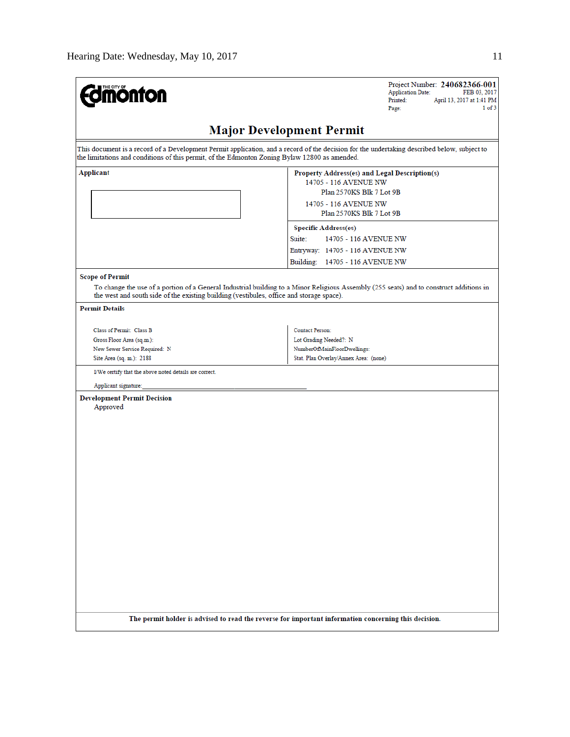| <b>mönton</b>                                                                                                                               | Project Number: 240682366-001<br><b>Application Date:</b><br>FEB 03, 2017<br>Printed:<br>April 13, 2017 at 1:41 PM<br>1 of 3<br>Page:                                                                                                                        |  |  |  |  |  |
|---------------------------------------------------------------------------------------------------------------------------------------------|--------------------------------------------------------------------------------------------------------------------------------------------------------------------------------------------------------------------------------------------------------------|--|--|--|--|--|
| <b>Major Development Permit</b>                                                                                                             |                                                                                                                                                                                                                                                              |  |  |  |  |  |
| the limitations and conditions of this permit, of the Edmonton Zoning Bylaw 12800 as amended.                                               | This document is a record of a Development Permit application, and a record of the decision for the undertaking described below, subject to                                                                                                                  |  |  |  |  |  |
| Applicant                                                                                                                                   | Property Address(es) and Legal Description(s)<br>14705 - 116 AVENUE NW<br>Plan 2570KS Blk 7 Lot 9B<br>14705 - 116 AVENUE NW<br>Plan 2570KS Blk 7 Lot 9B<br><b>Specific Address(es)</b><br>Suite:<br>14705 - 116 AVENUE NW<br>Entryway: 14705 - 116 AVENUE NW |  |  |  |  |  |
| <b>Scope of Permit</b><br>the west and south side of the existing building (vestibules, office and storage space).                          | Building: 14705 - 116 AVENUE NW<br>To change the use of a portion of a General Industrial building to a Minor Religious Assembly (255 seats) and to construct additions in                                                                                   |  |  |  |  |  |
| <b>Permit Details</b><br>Class of Permit: Class B<br>Gross Floor Area (sq.m.):<br>New Sewer Service Required: N<br>Site Area (sq. m.): 2188 | <b>Contact Person:</b><br>Lot Grading Needed?: N<br>NumberOfMainFloorDwellings:<br>Stat. Plan Overlay/Annex Area: (none)                                                                                                                                     |  |  |  |  |  |
| I/We certify that the above noted details are correct.                                                                                      |                                                                                                                                                                                                                                                              |  |  |  |  |  |
| Applicant signature:<br><b>Development Permit Decision</b><br>Approved                                                                      |                                                                                                                                                                                                                                                              |  |  |  |  |  |
|                                                                                                                                             | The permit holder is advised to read the reverse for important information concerning this decision.                                                                                                                                                         |  |  |  |  |  |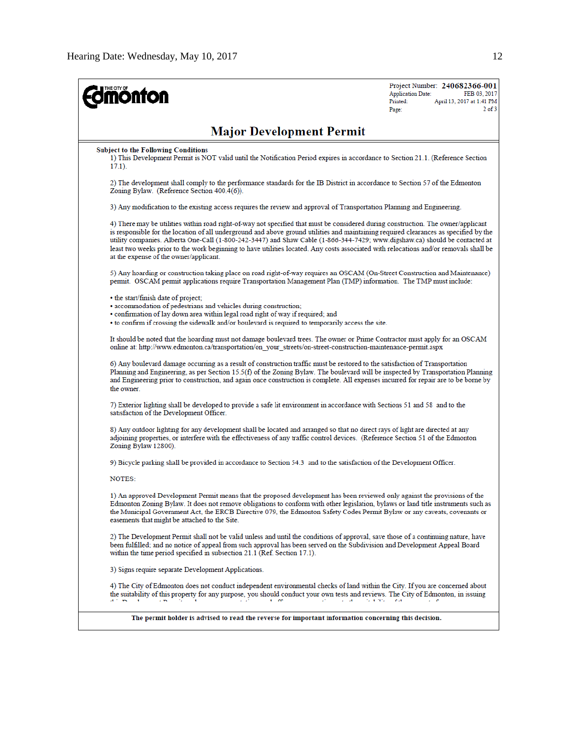| <b>mönton</b>                                                                                                                                                                                                                                                                                                                                                                                                                                                                                                                                                                                | Project Number: 240682366-001<br><b>Application Date:</b><br>FEB 03, 2017<br>Printed:<br>April 13, 2017 at 1:41 PM<br>$2$ of $3$<br>Page: |
|----------------------------------------------------------------------------------------------------------------------------------------------------------------------------------------------------------------------------------------------------------------------------------------------------------------------------------------------------------------------------------------------------------------------------------------------------------------------------------------------------------------------------------------------------------------------------------------------|-------------------------------------------------------------------------------------------------------------------------------------------|
| <b>Major Development Permit</b>                                                                                                                                                                                                                                                                                                                                                                                                                                                                                                                                                              |                                                                                                                                           |
| <b>Subject to the Following Conditions</b><br>1) This Development Permit is NOT valid until the Notification Period expires in accordance to Section 21.1. (Reference Section<br>$17.1$ ).                                                                                                                                                                                                                                                                                                                                                                                                   |                                                                                                                                           |
| 2) The development shall comply to the performance standards for the IB District in accordance to Section 57 of the Edmonton<br>Zoning Bylaw. (Reference Section 400.4(6)).                                                                                                                                                                                                                                                                                                                                                                                                                  |                                                                                                                                           |
| 3) Any modification to the existing access requires the review and approval of Transportation Planning and Engineering.                                                                                                                                                                                                                                                                                                                                                                                                                                                                      |                                                                                                                                           |
| 4) There may be utilities within road right-of-way not specified that must be considered during construction. The owner/applicant<br>is responsible for the location of all underground and above ground utilities and maintaining required clearances as specified by the<br>utility companies. Alberta One-Call (1-800-242-3447) and Shaw Cable (1-866-344-7429; www.digshaw.ca) should be contacted at<br>least two weeks prior to the work beginning to have utilities located. Any costs associated with relocations and/or removals shall be<br>at the expense of the owner/applicant. |                                                                                                                                           |
| 5) Any hoarding or construction taking place on road right-of-way requires an OSCAM (On-Street Construction and Maintenance)<br>permit. OSCAM permit applications require Transportation Management Plan (TMP) information. The TMP must include:                                                                                                                                                                                                                                                                                                                                            |                                                                                                                                           |
| • the start/finish date of project;<br>· accommodation of pedestrians and vehicles during construction;<br>• confirmation of lay down area within legal road right of way if required; and<br>• to confirm if crossing the sidewalk and/or boulevard is required to temporarily access the site.                                                                                                                                                                                                                                                                                             |                                                                                                                                           |
| It should be noted that the hoarding must not damage boulevard trees. The owner or Prime Contractor must apply for an OSCAM<br>online at: http://www.edmonton.ca/transportation/on_your_streets/on-street-construction-maintenance-permit.aspx                                                                                                                                                                                                                                                                                                                                               |                                                                                                                                           |
| 6) Any boulevard damage occurring as a result of construction traffic must be restored to the satisfaction of Transportation<br>Planning and Engineering, as per Section 15.5(f) of the Zoning Bylaw. The boulevard will be inspected by Transportation Planning<br>and Engineering prior to construction, and again once construction is complete. All expenses incurred for repair are to be borne by<br>the owner.                                                                                                                                                                        |                                                                                                                                           |
| 7) Exterior lighting shall be developed to provide a safe lit environment in accordance with Sections 51 and 58 and to the<br>satisfaction of the Development Officer.                                                                                                                                                                                                                                                                                                                                                                                                                       |                                                                                                                                           |
| 8) Any outdoor lighting for any development shall be located and arranged so that no direct rays of light are directed at any<br>adjoining properties, or interfere with the effectiveness of any traffic control devices. (Reference Section 51 of the Edmonton<br>Zoning Bylaw 12800).                                                                                                                                                                                                                                                                                                     |                                                                                                                                           |
| 9) Bicycle parking shall be provided in accordance to Section 54.3 and to the satisfaction of the Development Officer.                                                                                                                                                                                                                                                                                                                                                                                                                                                                       |                                                                                                                                           |
| NOTES:                                                                                                                                                                                                                                                                                                                                                                                                                                                                                                                                                                                       |                                                                                                                                           |
| 1) An approved Development Permit means that the proposed development has been reviewed only against the provisions of the<br>Edmonton Zoning Bylaw. It does not remove obligations to conform with other legislation, bylaws or land title instruments such as<br>the Municipal Government Act, the ERCB Directive 079, the Edmonton Safety Codes Permit Bylaw or any caveats, covenants or<br>easements that might be attached to the Site.                                                                                                                                                |                                                                                                                                           |
| 2) The Development Permit shall not be valid unless and until the conditions of approval, save those of a continuing nature, have<br>been fulfilled; and no notice of appeal from such approval has been served on the Subdivision and Development Appeal Board<br>within the time period specified in subsection 21.1 (Ref. Section 17.1).                                                                                                                                                                                                                                                  |                                                                                                                                           |
| 3) Signs require separate Development Applications.                                                                                                                                                                                                                                                                                                                                                                                                                                                                                                                                          |                                                                                                                                           |
| 4) The City of Edmonton does not conduct independent environmental checks of land within the City. If you are concerned about<br>the suitability of this property for any purpose, you should conduct your own tests and reviews. The City of Edmonton, in issuing<br>$\sim 100$<br>$\Delta \sim 10^{-11}$                                                                                                                                                                                                                                                                                   | <b>Cat</b>                                                                                                                                |
| The permit holder is advised to read the reverse for important information concerning this decision.                                                                                                                                                                                                                                                                                                                                                                                                                                                                                         |                                                                                                                                           |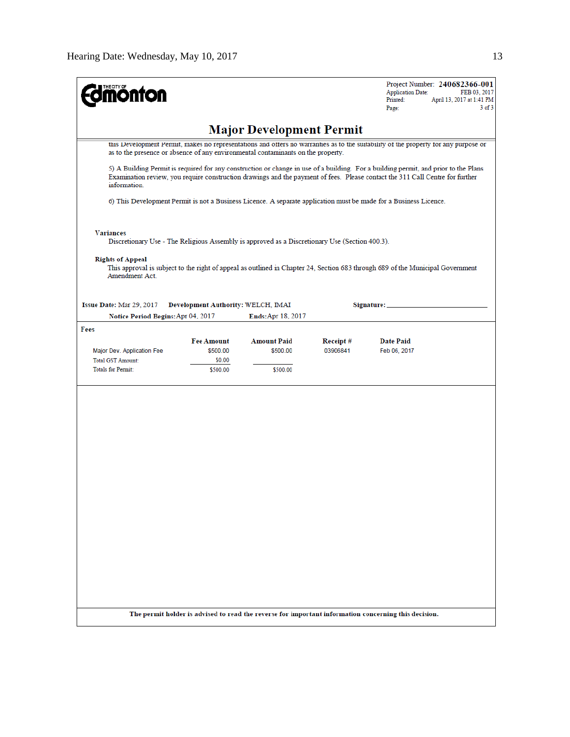| <b>mönton</b>                                                                                                                                                                                                                                                                        |                                                                                                                                                                                                                         |                    |          | Project Number: 240682366-001<br><b>Application Date:</b><br>FEB 03, 2017<br>Printed:<br>April 13, 2017 at 1:41 PM<br>$3$ of $3$<br>Page: |  |  |  |
|--------------------------------------------------------------------------------------------------------------------------------------------------------------------------------------------------------------------------------------------------------------------------------------|-------------------------------------------------------------------------------------------------------------------------------------------------------------------------------------------------------------------------|--------------------|----------|-------------------------------------------------------------------------------------------------------------------------------------------|--|--|--|
| <b>Major Development Permit</b>                                                                                                                                                                                                                                                      |                                                                                                                                                                                                                         |                    |          |                                                                                                                                           |  |  |  |
|                                                                                                                                                                                                                                                                                      | this Development Permit, makes no representations and offers no warranties as to the suitability of the property for any purpose or<br>as to the presence or absence of any environmental contaminants on the property. |                    |          |                                                                                                                                           |  |  |  |
| 5) A Building Permit is required for any construction or change in use of a building. For a building permit, and prior to the Plans<br>Examination review, you require construction drawings and the payment of fees. Please contact the 311 Call Centre for further<br>information. |                                                                                                                                                                                                                         |                    |          |                                                                                                                                           |  |  |  |
| 6) This Development Permit is not a Business Licence. A separate application must be made for a Business Licence.                                                                                                                                                                    |                                                                                                                                                                                                                         |                    |          |                                                                                                                                           |  |  |  |
| <b>Variances</b><br>Discretionary Use - The Religious Assembly is approved as a Discretionary Use (Section 400.3).                                                                                                                                                                   |                                                                                                                                                                                                                         |                    |          |                                                                                                                                           |  |  |  |
| <b>Rights of Appeal</b><br>Amendment Act.                                                                                                                                                                                                                                            |                                                                                                                                                                                                                         |                    |          | This approval is subject to the right of appeal as outlined in Chapter 24, Section 683 through 689 of the Municipal Government            |  |  |  |
| Issue Date: Mar 29, 2017<br>Notice Period Begins: Apr 04, 2017                                                                                                                                                                                                                       | Development Authority: WELCH, IMAI                                                                                                                                                                                      | Ends: Apr 18, 2017 |          | Signature: __                                                                                                                             |  |  |  |
| Fees                                                                                                                                                                                                                                                                                 |                                                                                                                                                                                                                         |                    |          |                                                                                                                                           |  |  |  |
|                                                                                                                                                                                                                                                                                      | <b>Fee Amount</b>                                                                                                                                                                                                       | <b>Amount Paid</b> | Receipt# | <b>Date Paid</b>                                                                                                                          |  |  |  |
| Major Dev. Application Fee                                                                                                                                                                                                                                                           | \$500.00                                                                                                                                                                                                                | \$500.00           | 03906841 | Feb 06, 2017                                                                                                                              |  |  |  |
| <b>Total GST Amount:</b><br><b>Totals for Permit:</b>                                                                                                                                                                                                                                | \$0.00<br>\$500.00                                                                                                                                                                                                      | \$500.00           |          |                                                                                                                                           |  |  |  |
|                                                                                                                                                                                                                                                                                      |                                                                                                                                                                                                                         |                    |          |                                                                                                                                           |  |  |  |
|                                                                                                                                                                                                                                                                                      |                                                                                                                                                                                                                         |                    |          | The permit holder is advised to read the reverse for important information concerning this decision.                                      |  |  |  |